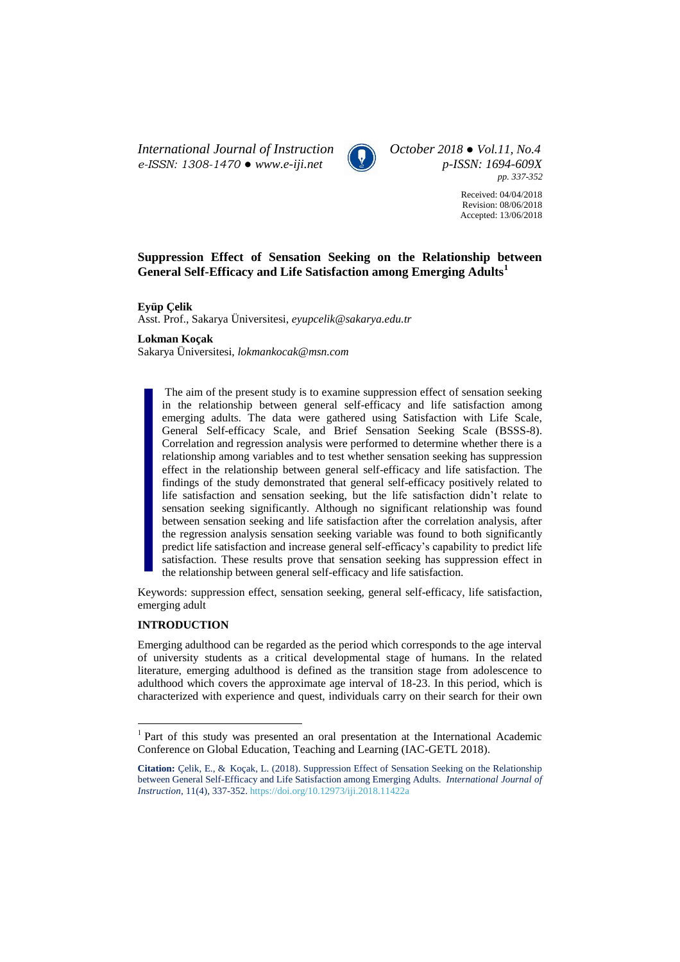*International Journal of Instruction October 2018 ● Vol.11, No.4 e-ISSN: 1308-1470 ● [www.e-iji.net](http://www.e-iji.net/) p-ISSN: 1694-609X*



*pp. 337-352*

Received: 04/04/2018 Revision: 08/06/2018 Accepted: 13/06/2018

# **Suppression Effect of Sensation Seeking on the Relationship between General Self-Efficacy and Life Satisfaction among Emerging Adults<sup>1</sup>**

**Eyüp Çelik** Asst. Prof., Sakarya Üniversitesi, *eyupcelik@sakarya.edu.tr*

**Lokman Koçak** Sakarya Üniversitesi, *lokmankocak@msn.com*

> The aim of the present study is to examine suppression effect of sensation seeking in the relationship between general self-efficacy and life satisfaction among emerging adults. The data were gathered using Satisfaction with Life Scale, General Self-efficacy Scale, and Brief Sensation Seeking Scale (BSSS-8). Correlation and regression analysis were performed to determine whether there is a relationship among variables and to test whether sensation seeking has suppression effect in the relationship between general self-efficacy and life satisfaction. The findings of the study demonstrated that general self-efficacy positively related to life satisfaction and sensation seeking, but the life satisfaction didn't relate to sensation seeking significantly. Although no significant relationship was found between sensation seeking and life satisfaction after the correlation analysis, after the regression analysis sensation seeking variable was found to both significantly predict life satisfaction and increase general self-efficacy's capability to predict life satisfaction. These results prove that sensation seeking has suppression effect in the relationship between general self-efficacy and life satisfaction.

Keywords: suppression effect, sensation seeking, general self-efficacy, life satisfaction, emerging adult

## **INTRODUCTION**

 $\overline{a}$ 

Emerging adulthood can be regarded as the period which corresponds to the age interval of university students as a critical developmental stage of humans. In the related literature, emerging adulthood is defined as the transition stage from adolescence to adulthood which covers the approximate age interval of 18-23. In this period, which is characterized with experience and quest, individuals carry on their search for their own

<sup>&</sup>lt;sup>1</sup> Part of this study was presented an oral presentation at the International Academic Conference on Global Education, Teaching and Learning (IAC-GETL 2018).

**Citation:** Çelik, E., & Koçak, L. (2018). Suppression Effect of Sensation Seeking on the Relationship between General Self-Efficacy and Life Satisfaction among Emerging Adults. *International Journal of Instruction*, 11(4), 337-352. <https://doi.org/10.12973/iji.2018.11422a>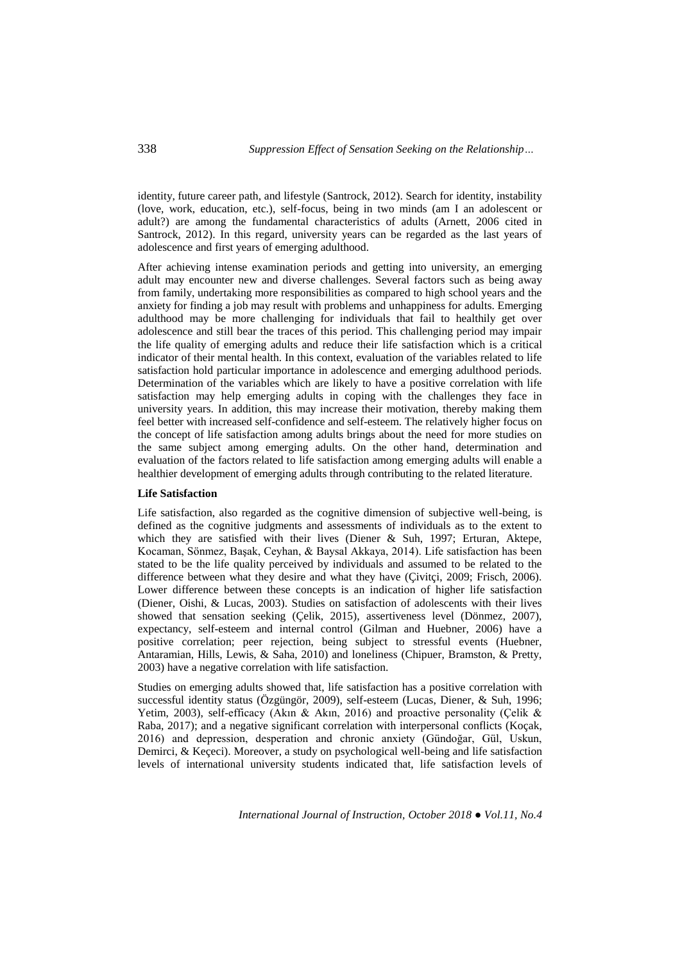identity, future career path, and lifestyle (Santrock, 2012). Search for identity, instability (love, work, education, etc.), self-focus, being in two minds (am I an adolescent or adult?) are among the fundamental characteristics of adults (Arnett, 2006 cited in Santrock, 2012). In this regard, university years can be regarded as the last years of adolescence and first years of emerging adulthood.

After achieving intense examination periods and getting into university, an emerging adult may encounter new and diverse challenges. Several factors such as being away from family, undertaking more responsibilities as compared to high school years and the anxiety for finding a job may result with problems and unhappiness for adults. Emerging adulthood may be more challenging for individuals that fail to healthily get over adolescence and still bear the traces of this period. This challenging period may impair the life quality of emerging adults and reduce their life satisfaction which is a critical indicator of their mental health. In this context, evaluation of the variables related to life satisfaction hold particular importance in adolescence and emerging adulthood periods. Determination of the variables which are likely to have a positive correlation with life satisfaction may help emerging adults in coping with the challenges they face in university years. In addition, this may increase their motivation, thereby making them feel better with increased self-confidence and self-esteem. The relatively higher focus on the concept of life satisfaction among adults brings about the need for more studies on the same subject among emerging adults. On the other hand, determination and evaluation of the factors related to life satisfaction among emerging adults will enable a healthier development of emerging adults through contributing to the related literature.

## **Life Satisfaction**

Life satisfaction, also regarded as the cognitive dimension of subjective well-being, is defined as the cognitive judgments and assessments of individuals as to the extent to which they are satisfied with their lives (Diener & Suh, 1997; Erturan, Aktepe, Kocaman, Sönmez, Başak, Ceyhan, & Baysal Akkaya, 2014). Life satisfaction has been stated to be the life quality perceived by individuals and assumed to be related to the difference between what they desire and what they have (Çivitçi, 2009; Frisch, 2006). Lower difference between these concepts is an indication of higher life satisfaction (Diener, Oishi, & Lucas, 2003). Studies on satisfaction of adolescents with their lives showed that sensation seeking (Çelik, 2015), assertiveness level (Dönmez, 2007), expectancy, self-esteem and internal control (Gilman and Huebner, 2006) have a positive correlation; peer rejection, being subject to stressful events (Huebner, Antaramian, Hills, Lewis, & Saha, 2010) and loneliness (Chipuer, Bramston, & Pretty, 2003) have a negative correlation with life satisfaction.

Studies on emerging adults showed that, life satisfaction has a positive correlation with successful identity status (Özgüngör, 2009), self-esteem (Lucas, Diener, & Suh, 1996; Yetim, 2003), self-efficacy (Akın & Akın, 2016) and proactive personality (Çelik & Raba, 2017); and a negative significant correlation with interpersonal conflicts (Koçak, 2016) and depression, desperation and chronic anxiety (Gündoğar, Gül, Uskun, Demirci, & Keçeci). Moreover, a study on psychological well-being and life satisfaction levels of international university students indicated that, life satisfaction levels of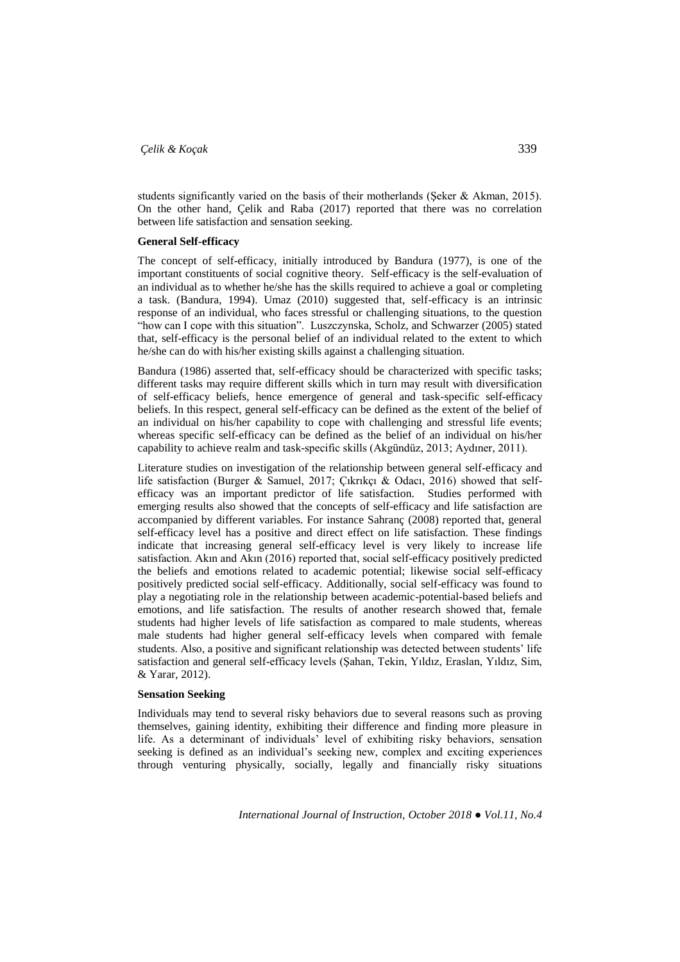students significantly varied on the basis of their motherlands (Seker & Akman, 2015). On the other hand, Çelik and Raba (2017) reported that there was no correlation between life satisfaction and sensation seeking.

## **General Self-efficacy**

The concept of self-efficacy, initially introduced by Bandura (1977), is one of the important constituents of social cognitive theory. Self-efficacy is the self-evaluation of an individual as to whether he/she has the skills required to achieve a goal or completing a task. (Bandura, 1994). Umaz (2010) suggested that, self-efficacy is an intrinsic response of an individual, who faces stressful or challenging situations, to the question "how can I cope with this situation". Luszczynska, Scholz, and Schwarzer (2005) stated that, self-efficacy is the personal belief of an individual related to the extent to which he/she can do with his/her existing skills against a challenging situation.

Bandura (1986) asserted that, self-efficacy should be characterized with specific tasks; different tasks may require different skills which in turn may result with diversification of self-efficacy beliefs, hence emergence of general and task-specific self-efficacy beliefs. In this respect, general self-efficacy can be defined as the extent of the belief of an individual on his/her capability to cope with challenging and stressful life events; whereas specific self-efficacy can be defined as the belief of an individual on his/her capability to achieve realm and task-specific skills (Akgündüz, 2013; Aydıner, 2011).

Literature studies on investigation of the relationship between general self-efficacy and life satisfaction (Burger & Samuel, 2017; Çıkrıkçı & Odacı, 2016) showed that selfefficacy was an important predictor of life satisfaction. Studies performed with emerging results also showed that the concepts of self-efficacy and life satisfaction are accompanied by different variables. For instance Sahranç (2008) reported that, general self-efficacy level has a positive and direct effect on life satisfaction. These findings indicate that increasing general self-efficacy level is very likely to increase life satisfaction. Akın and Akın (2016) reported that, social self-efficacy positively predicted the beliefs and emotions related to academic potential; likewise social self-efficacy positively predicted social self-efficacy. Additionally, social self-efficacy was found to play a negotiating role in the relationship between academic-potential-based beliefs and emotions, and life satisfaction. The results of another research showed that, female students had higher levels of life satisfaction as compared to male students, whereas male students had higher general self-efficacy levels when compared with female students. Also, a positive and significant relationship was detected between students' life satisfaction and general self-efficacy levels (Şahan, Tekin, Yıldız, Eraslan, Yıldız, Sim, & Yarar, 2012).

#### **Sensation Seeking**

Individuals may tend to several risky behaviors due to several reasons such as proving themselves, gaining identity, exhibiting their difference and finding more pleasure in life. As a determinant of individuals' level of exhibiting risky behaviors, sensation seeking is defined as an individual's seeking new, complex and exciting experiences through venturing physically, socially, legally and financially risky situations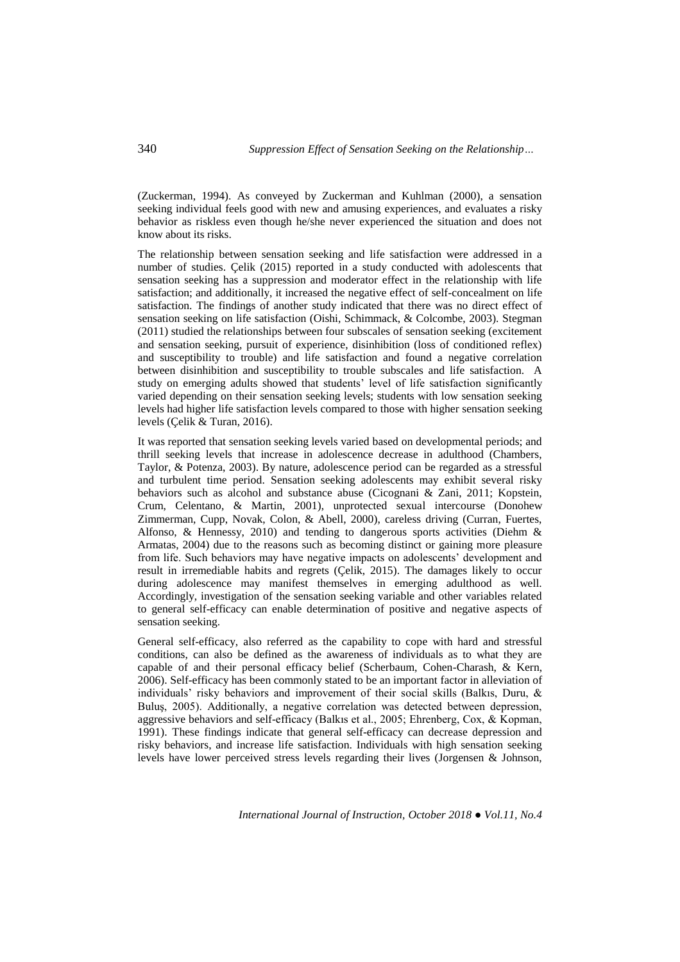(Zuckerman, 1994). As conveyed by Zuckerman and Kuhlman (2000), a sensation seeking individual feels good with new and amusing experiences, and evaluates a risky behavior as riskless even though he/she never experienced the situation and does not know about its risks.

The relationship between sensation seeking and life satisfaction were addressed in a number of studies. Çelik (2015) reported in a study conducted with adolescents that sensation seeking has a suppression and moderator effect in the relationship with life satisfaction; and additionally, it increased the negative effect of self-concealment on life satisfaction. The findings of another study indicated that there was no direct effect of sensation seeking on life satisfaction (Oishi, Schimmack, & Colcombe, 2003). Stegman (2011) studied the relationships between four subscales of sensation seeking (excitement and sensation seeking, pursuit of experience, disinhibition (loss of conditioned reflex) and susceptibility to trouble) and life satisfaction and found a negative correlation between disinhibition and susceptibility to trouble subscales and life satisfaction. A study on emerging adults showed that students' level of life satisfaction significantly varied depending on their sensation seeking levels; students with low sensation seeking levels had higher life satisfaction levels compared to those with higher sensation seeking levels (Çelik & Turan, 2016).

It was reported that sensation seeking levels varied based on developmental periods; and thrill seeking levels that increase in adolescence decrease in adulthood (Chambers, Taylor, & Potenza, 2003). By nature, adolescence period can be regarded as a stressful and turbulent time period. Sensation seeking adolescents may exhibit several risky behaviors such as alcohol and substance abuse (Cicognani & Zani, 2011; Kopstein, Crum, Celentano, & Martin, 2001), unprotected sexual intercourse (Donohew Zimmerman, Cupp, Novak, Colon, & Abell, 2000), careless driving (Curran, Fuertes, Alfonso, & Hennessy, 2010) and tending to dangerous sports activities (Diehm & Armatas, 2004) due to the reasons such as becoming distinct or gaining more pleasure from life. Such behaviors may have negative impacts on adolescents' development and result in irremediable habits and regrets (Çelik, 2015). The damages likely to occur during adolescence may manifest themselves in emerging adulthood as well. Accordingly, investigation of the sensation seeking variable and other variables related to general self-efficacy can enable determination of positive and negative aspects of sensation seeking.

General self-efficacy, also referred as the capability to cope with hard and stressful conditions, can also be defined as the awareness of individuals as to what they are capable of and their personal efficacy belief (Scherbaum, Cohen-Charash, & Kern, 2006). Self-efficacy has been commonly stated to be an important factor in alleviation of individuals' risky behaviors and improvement of their social skills (Balkıs, Duru, & Buluş, 2005). Additionally, a negative correlation was detected between depression, aggressive behaviors and self-efficacy (Balkıs et al., 2005; Ehrenberg, Cox, & Kopman, 1991). These findings indicate that general self-efficacy can decrease depression and risky behaviors, and increase life satisfaction. Individuals with high sensation seeking levels have lower perceived stress levels regarding their lives (Jorgensen & Johnson,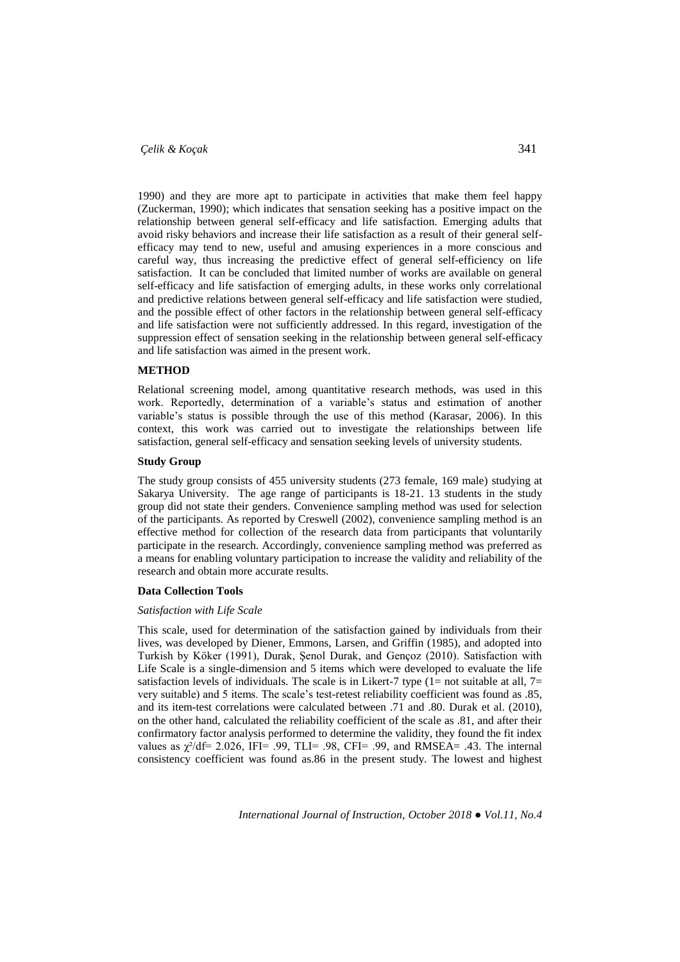1990) and they are more apt to participate in activities that make them feel happy (Zuckerman, 1990); which indicates that sensation seeking has a positive impact on the relationship between general self-efficacy and life satisfaction. Emerging adults that avoid risky behaviors and increase their life satisfaction as a result of their general selfefficacy may tend to new, useful and amusing experiences in a more conscious and careful way, thus increasing the predictive effect of general self-efficiency on life satisfaction. It can be concluded that limited number of works are available on general self-efficacy and life satisfaction of emerging adults, in these works only correlational and predictive relations between general self-efficacy and life satisfaction were studied, and the possible effect of other factors in the relationship between general self-efficacy and life satisfaction were not sufficiently addressed. In this regard, investigation of the suppression effect of sensation seeking in the relationship between general self-efficacy and life satisfaction was aimed in the present work.

## **METHOD**

Relational screening model, among quantitative research methods, was used in this work. Reportedly, determination of a variable's status and estimation of another variable's status is possible through the use of this method (Karasar, 2006). In this context, this work was carried out to investigate the relationships between life satisfaction, general self-efficacy and sensation seeking levels of university students.

#### **Study Group**

The study group consists of 455 university students (273 female, 169 male) studying at Sakarya University. The age range of participants is 18-21. 13 students in the study group did not state their genders. Convenience sampling method was used for selection of the participants. As reported by Creswell (2002), convenience sampling method is an effective method for collection of the research data from participants that voluntarily participate in the research. Accordingly, convenience sampling method was preferred as a means for enabling voluntary participation to increase the validity and reliability of the research and obtain more accurate results.

#### **Data Collection Tools**

#### *Satisfaction with Life Scale*

This scale, used for determination of the satisfaction gained by individuals from their lives, was developed by Diener, Emmons, Larsen, and Griffin (1985), and adopted into Turkish by Köker (1991), Durak, Şenol Durak, and Gençoz (2010). Satisfaction with Life Scale is a single-dimension and 5 items which were developed to evaluate the life satisfaction levels of individuals. The scale is in Likert-7 type (1= not suitable at all,  $7=$ very suitable) and 5 items. The scale's test-retest reliability coefficient was found as .85, and its item-test correlations were calculated between .71 and .80. Durak et al. (2010), on the other hand, calculated the reliability coefficient of the scale as .81, and after their confirmatory factor analysis performed to determine the validity, they found the fit index values as  $\chi^2/df = 2.026$ , IFI= .99, TLI= .98, CFI= .99, and RMSEA= .43. The internal consistency coefficient was found as.86 in the present study. The lowest and highest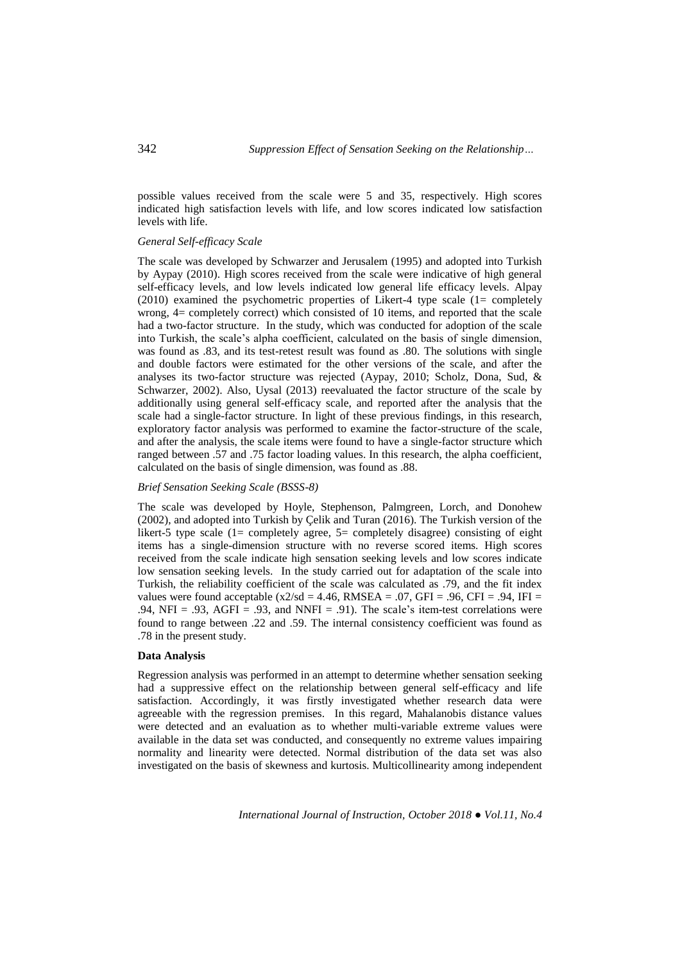possible values received from the scale were 5 and 35, respectively. High scores indicated high satisfaction levels with life, and low scores indicated low satisfaction levels with life.

## *General Self-efficacy Scale*

The scale was developed by Schwarzer and Jerusalem (1995) and adopted into Turkish by Aypay (2010). High scores received from the scale were indicative of high general self-efficacy levels, and low levels indicated low general life efficacy levels. Alpay (2010) examined the psychometric properties of Likert-4 type scale (1= completely wrong, 4= completely correct) which consisted of 10 items, and reported that the scale had a two-factor structure. In the study, which was conducted for adoption of the scale into Turkish, the scale's alpha coefficient, calculated on the basis of single dimension, was found as .83, and its test-retest result was found as .80. The solutions with single and double factors were estimated for the other versions of the scale, and after the analyses its two-factor structure was rejected (Aypay, 2010; Scholz, Dona, Sud, & Schwarzer, 2002). Also, Uysal (2013) reevaluated the factor structure of the scale by additionally using general self-efficacy scale, and reported after the analysis that the scale had a single-factor structure. In light of these previous findings, in this research, exploratory factor analysis was performed to examine the factor-structure of the scale, and after the analysis, the scale items were found to have a single-factor structure which ranged between .57 and .75 factor loading values. In this research, the alpha coefficient, calculated on the basis of single dimension, was found as .88.

## *Brief Sensation Seeking Scale (BSSS-8)*

The scale was developed by Hoyle, Stephenson, Palmgreen, Lorch, and Donohew (2002), and adopted into Turkish by Çelik and Turan (2016). The Turkish version of the likert-5 type scale  $(1=$  completely agree,  $5=$  completely disagree) consisting of eight items has a single-dimension structure with no reverse scored items. High scores received from the scale indicate high sensation seeking levels and low scores indicate low sensation seeking levels. In the study carried out for adaptation of the scale into Turkish, the reliability coefficient of the scale was calculated as .79, and the fit index values were found acceptable  $(x2/sd = 4.46$ , RMSEA = .07, GFI = .96, CFI = .94, IFI = .94, NFI = .93, AGFI = .93, and NNFI = .91). The scale's item-test correlations were found to range between .22 and .59. The internal consistency coefficient was found as .78 in the present study.

#### **Data Analysis**

Regression analysis was performed in an attempt to determine whether sensation seeking had a suppressive effect on the relationship between general self-efficacy and life satisfaction. Accordingly, it was firstly investigated whether research data were agreeable with the regression premises. In this regard, Mahalanobis distance values were detected and an evaluation as to whether multi-variable extreme values were available in the data set was conducted, and consequently no extreme values impairing normality and linearity were detected. Normal distribution of the data set was also investigated on the basis of skewness and kurtosis. Multicollinearity among independent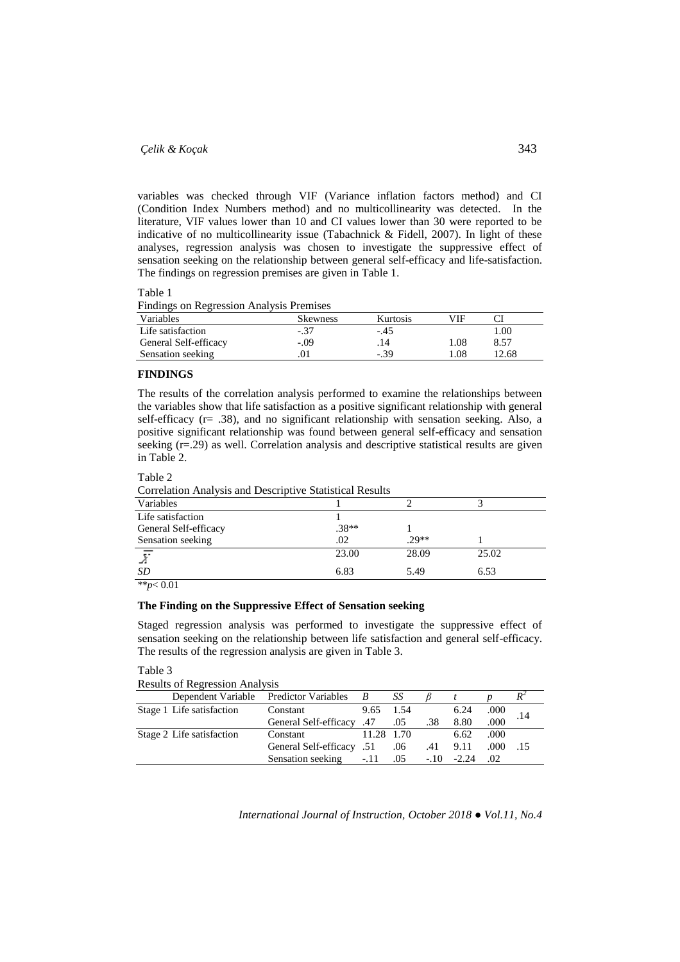variables was checked through VIF (Variance inflation factors method) and CI (Condition Index Numbers method) and no multicollinearity was detected. In the literature, VIF values lower than 10 and CI values lower than 30 were reported to be indicative of no multicollinearity issue (Tabachnick  $\&$  Fidell, 2007). In light of these analyses, regression analysis was chosen to investigate the suppressive effect of sensation seeking on the relationship between general self-efficacy and life-satisfaction. The findings on regression premises are given in Table 1.

Table 1

Findings on Regression Analysis Premises

| Variables             | Skewness | Kurtosis | VIF  |          |
|-----------------------|----------|----------|------|----------|
| Life satisfaction     | $-.37$   | -.45     |      | $1.00\,$ |
| General Self-efficacy | $-.09$   |          | l.08 | 8.57     |
| Sensation seeking     | .01      | -.39     | .08  | 12.68    |

## **FINDINGS**

The results of the correlation analysis performed to examine the relationships between the variables show that life satisfaction as a positive significant relationship with general self-efficacy  $(r= .38)$ , and no significant relationship with sensation seeking. Also, a positive significant relationship was found between general self-efficacy and sensation seeking (r=.29) as well. Correlation analysis and descriptive statistical results are given in Table 2.

#### Table 2

Correlation Analysis and Descriptive Statistical Results

| Variables                            |         |         |       |  |
|--------------------------------------|---------|---------|-------|--|
| Life satisfaction                    |         |         |       |  |
| General Self-efficacy                | $.38**$ |         |       |  |
| Sensation seeking                    | .02     | $.29**$ |       |  |
| $\bar{X}$                            | 23.00   | 28.09   | 25.02 |  |
| <sub>SD</sub>                        | 6.83    | 5.49    | 6.53  |  |
| $-1 - 1 - 1$<br>$\sim$ $\sim$ $\sim$ |         |         |       |  |

\*\**p*< 0.01

Table 3

# **The Finding on the Suppressive Effect of Sensation seeking**

Staged regression analysis was performed to investigate the suppressive effect of sensation seeking on the relationship between life satisfaction and general self-efficacy. The results of the regression analysis are given in Table 3.

| <b>Results of Regression Analysis</b> |                       |                                        |                                                           |                      |         |      |     |  |
|---------------------------------------|-----------------------|----------------------------------------|-----------------------------------------------------------|----------------------|---------|------|-----|--|
|                                       |                       |                                        | SS                                                        |                      |         |      |     |  |
| Stage 1 Life satisfaction             | Constant              | 9.65                                   |                                                           |                      | 6.24    | .000 | .14 |  |
|                                       | General Self-efficacy |                                        | .05                                                       | .38                  | 8.80    | .000 |     |  |
| Stage 2 Life satisfaction             | Constant              | 11.28                                  |                                                           |                      | 6.62    | .000 |     |  |
|                                       |                       |                                        | .06                                                       | .41                  | 9.11    | .000 | .15 |  |
|                                       | Sensation seeking     | $-.11$                                 |                                                           | $-.10$               | $-2.24$ | .02  |     |  |
|                                       |                       | Dependent Variable Predictor Variables | $\overline{B}$<br>.47<br><b>General Self-efficacy</b> .51 | -1.54<br>1.70<br>.05 |         |      |     |  |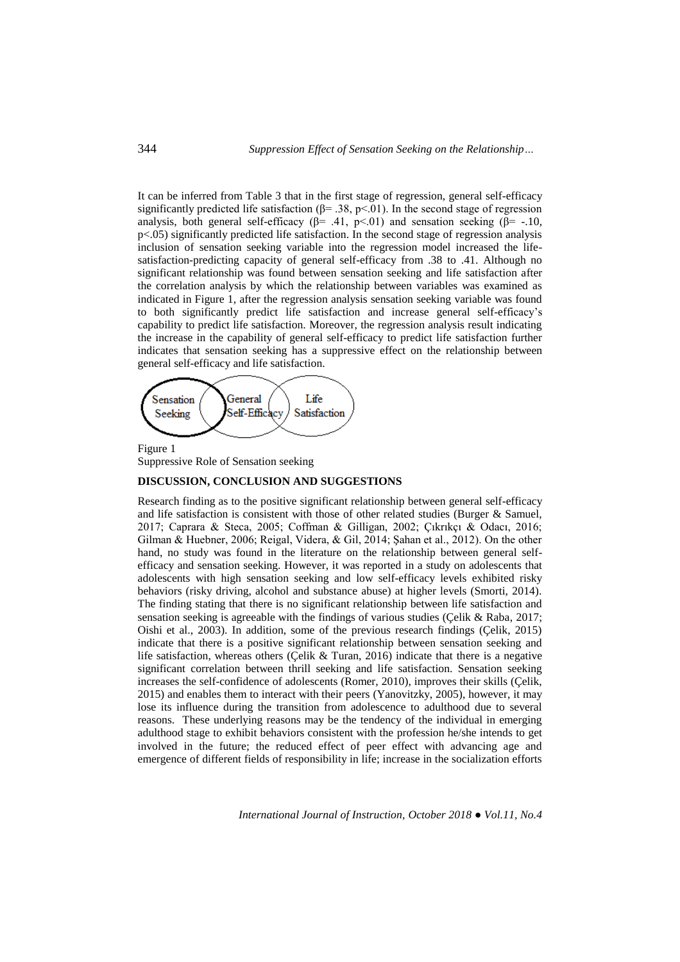It can be inferred from Table 3 that in the first stage of regression, general self-efficacy significantly predicted life satisfaction ( $\beta$ = .38, p<.01). In the second stage of regression analysis, both general self-efficacy ( $\beta$ = .41, p<.01) and sensation seeking ( $\beta$ = -.10, p<.05) significantly predicted life satisfaction. In the second stage of regression analysis inclusion of sensation seeking variable into the regression model increased the lifesatisfaction-predicting capacity of general self-efficacy from .38 to .41. Although no significant relationship was found between sensation seeking and life satisfaction after the correlation analysis by which the relationship between variables was examined as indicated in Figure 1, after the regression analysis sensation seeking variable was found to both significantly predict life satisfaction and increase general self-efficacy's capability to predict life satisfaction. Moreover, the regression analysis result indicating the increase in the capability of general self-efficacy to predict life satisfaction further indicates that sensation seeking has a suppressive effect on the relationship between general self-efficacy and life satisfaction.



Figure 1 Suppressive Role of Sensation seeking

#### **DISCUSSION, CONCLUSION AND SUGGESTIONS**

Research finding as to the positive significant relationship between general self-efficacy and life satisfaction is consistent with those of other related studies (Burger & Samuel, 2017; Caprara & Steca, 2005; Coffman & Gilligan, 2002; Çıkrıkçı & Odacı, 2016; Gilman & Huebner, 2006; Reigal, Videra, & Gil, 2014; Şahan et al., 2012). On the other hand, no study was found in the literature on the relationship between general selfefficacy and sensation seeking. However, it was reported in a study on adolescents that adolescents with high sensation seeking and low self-efficacy levels exhibited risky behaviors (risky driving, alcohol and substance abuse) at higher levels (Smorti, 2014). The finding stating that there is no significant relationship between life satisfaction and sensation seeking is agreeable with the findings of various studies (Çelik & Raba, 2017; Oishi et al., 2003). In addition, some of the previous research findings (Çelik, 2015) indicate that there is a positive significant relationship between sensation seeking and life satisfaction, whereas others (Çelik & Turan, 2016) indicate that there is a negative significant correlation between thrill seeking and life satisfaction. Sensation seeking increases the self-confidence of adolescents (Romer, 2010), improves their skills (Çelik, 2015) and enables them to interact with their peers (Yanovitzky, 2005), however, it may lose its influence during the transition from adolescence to adulthood due to several reasons. These underlying reasons may be the tendency of the individual in emerging adulthood stage to exhibit behaviors consistent with the profession he/she intends to get involved in the future; the reduced effect of peer effect with advancing age and emergence of different fields of responsibility in life; increase in the socialization efforts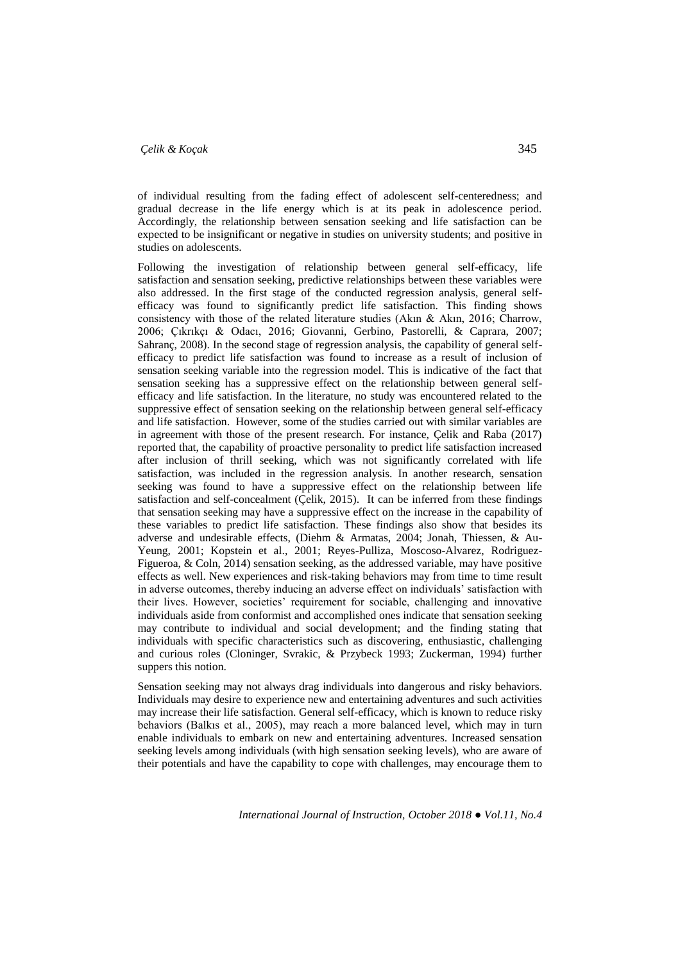of individual resulting from the fading effect of adolescent self-centeredness; and gradual decrease in the life energy which is at its peak in adolescence period. Accordingly, the relationship between sensation seeking and life satisfaction can be expected to be insignificant or negative in studies on university students; and positive in studies on adolescents.

Following the investigation of relationship between general self-efficacy, life satisfaction and sensation seeking, predictive relationships between these variables were also addressed. In the first stage of the conducted regression analysis, general selfefficacy was found to significantly predict life satisfaction. This finding shows consistency with those of the related literature studies (Akın & Akın, 2016; Charrow, 2006; Çıkrıkçı & Odacı, 2016; Giovanni, Gerbino, Pastorelli, & Caprara, 2007; Sahranç, 2008). In the second stage of regression analysis, the capability of general selfefficacy to predict life satisfaction was found to increase as a result of inclusion of sensation seeking variable into the regression model. This is indicative of the fact that sensation seeking has a suppressive effect on the relationship between general selfefficacy and life satisfaction. In the literature, no study was encountered related to the suppressive effect of sensation seeking on the relationship between general self-efficacy and life satisfaction. However, some of the studies carried out with similar variables are in agreement with those of the present research. For instance, Çelik and Raba (2017) reported that, the capability of proactive personality to predict life satisfaction increased after inclusion of thrill seeking, which was not significantly correlated with life satisfaction, was included in the regression analysis. In another research, sensation seeking was found to have a suppressive effect on the relationship between life satisfaction and self-concealment (Çelik, 2015). It can be inferred from these findings that sensation seeking may have a suppressive effect on the increase in the capability of these variables to predict life satisfaction. These findings also show that besides its adverse and undesirable effects, (Diehm & Armatas, 2004; Jonah, Thiessen, & Au-Yeung, 2001; Kopstein et al., 2001; Reyes-Pulliza, Moscoso-Alvarez, Rodriguez-Figueroa, & Coln, 2014) sensation seeking, as the addressed variable, may have positive effects as well. New experiences and risk-taking behaviors may from time to time result in adverse outcomes, thereby inducing an adverse effect on individuals' satisfaction with their lives. However, societies' requirement for sociable, challenging and innovative individuals aside from conformist and accomplished ones indicate that sensation seeking may contribute to individual and social development; and the finding stating that individuals with specific characteristics such as discovering, enthusiastic, challenging and curious roles (Cloninger, Svrakic, & Przybeck 1993; Zuckerman, 1994) further suppers this notion.

Sensation seeking may not always drag individuals into dangerous and risky behaviors. Individuals may desire to experience new and entertaining adventures and such activities may increase their life satisfaction. General self-efficacy, which is known to reduce risky behaviors (Balkıs et al., 2005), may reach a more balanced level, which may in turn enable individuals to embark on new and entertaining adventures. Increased sensation seeking levels among individuals (with high sensation seeking levels), who are aware of their potentials and have the capability to cope with challenges, may encourage them to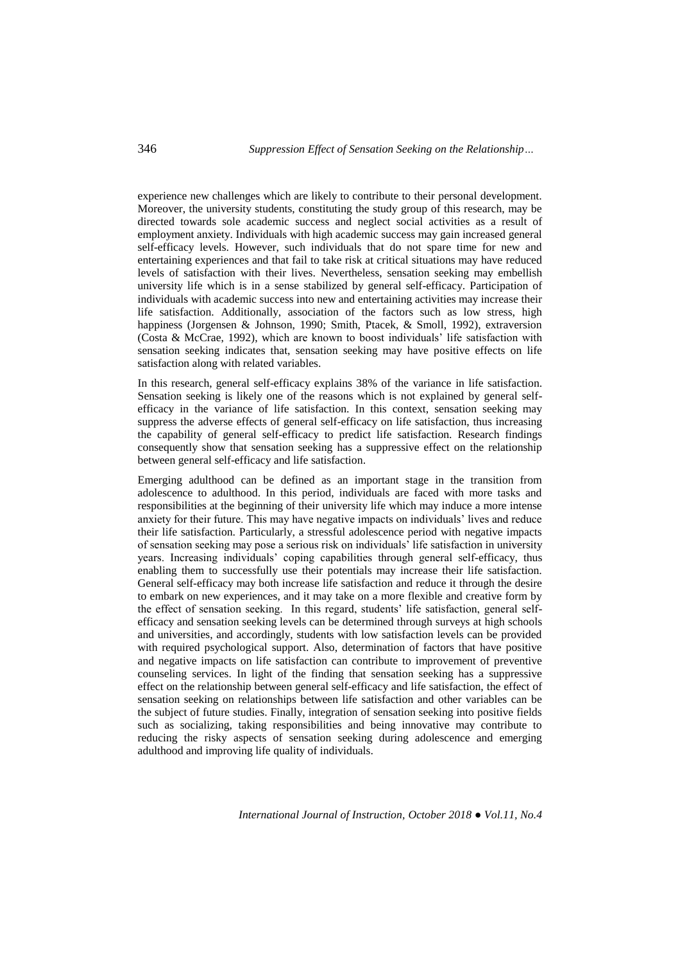experience new challenges which are likely to contribute to their personal development. Moreover, the university students, constituting the study group of this research, may be directed towards sole academic success and neglect social activities as a result of employment anxiety. Individuals with high academic success may gain increased general self-efficacy levels. However, such individuals that do not spare time for new and entertaining experiences and that fail to take risk at critical situations may have reduced levels of satisfaction with their lives. Nevertheless, sensation seeking may embellish university life which is in a sense stabilized by general self-efficacy. Participation of individuals with academic success into new and entertaining activities may increase their life satisfaction. Additionally, association of the factors such as low stress, high happiness (Jorgensen & Johnson, 1990; Smith, Ptacek, & Smoll, 1992), extraversion (Costa & McCrae, 1992), which are known to boost individuals' life satisfaction with sensation seeking indicates that, sensation seeking may have positive effects on life satisfaction along with related variables.

In this research, general self-efficacy explains 38% of the variance in life satisfaction. Sensation seeking is likely one of the reasons which is not explained by general selfefficacy in the variance of life satisfaction. In this context, sensation seeking may suppress the adverse effects of general self-efficacy on life satisfaction, thus increasing the capability of general self-efficacy to predict life satisfaction. Research findings consequently show that sensation seeking has a suppressive effect on the relationship between general self-efficacy and life satisfaction.

Emerging adulthood can be defined as an important stage in the transition from adolescence to adulthood. In this period, individuals are faced with more tasks and responsibilities at the beginning of their university life which may induce a more intense anxiety for their future. This may have negative impacts on individuals' lives and reduce their life satisfaction. Particularly, a stressful adolescence period with negative impacts of sensation seeking may pose a serious risk on individuals' life satisfaction in university years. Increasing individuals' coping capabilities through general self-efficacy, thus enabling them to successfully use their potentials may increase their life satisfaction. General self-efficacy may both increase life satisfaction and reduce it through the desire to embark on new experiences, and it may take on a more flexible and creative form by the effect of sensation seeking. In this regard, students' life satisfaction, general selfefficacy and sensation seeking levels can be determined through surveys at high schools and universities, and accordingly, students with low satisfaction levels can be provided with required psychological support. Also, determination of factors that have positive and negative impacts on life satisfaction can contribute to improvement of preventive counseling services. In light of the finding that sensation seeking has a suppressive effect on the relationship between general self-efficacy and life satisfaction, the effect of sensation seeking on relationships between life satisfaction and other variables can be the subject of future studies. Finally, integration of sensation seeking into positive fields such as socializing, taking responsibilities and being innovative may contribute to reducing the risky aspects of sensation seeking during adolescence and emerging adulthood and improving life quality of individuals.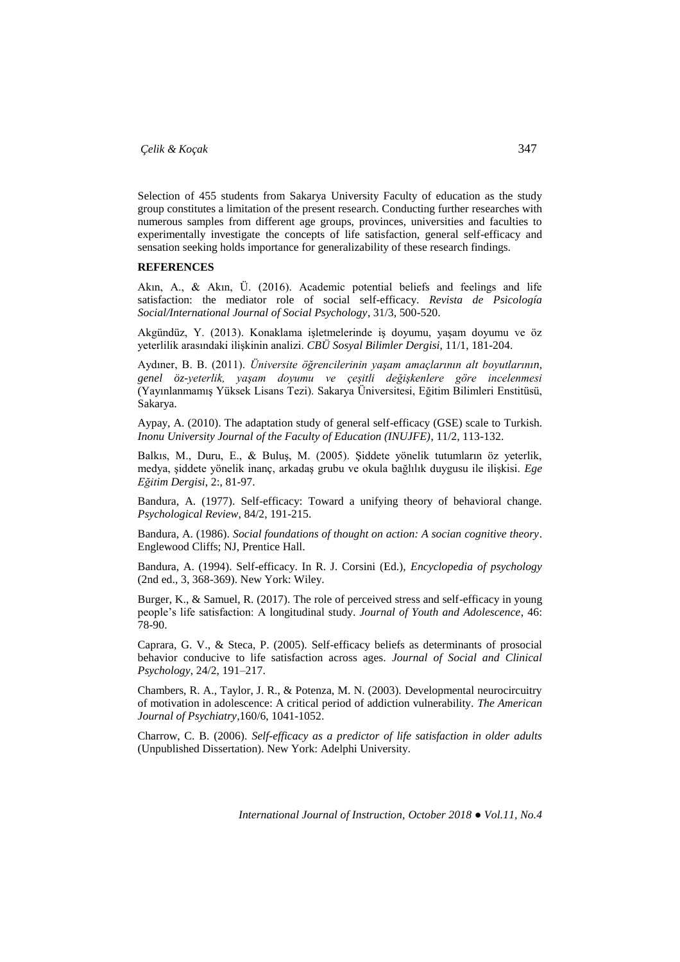Selection of 455 students from Sakarya University Faculty of education as the study group constitutes a limitation of the present research. Conducting further researches with numerous samples from different age groups, provinces, universities and faculties to experimentally investigate the concepts of life satisfaction, general self-efficacy and sensation seeking holds importance for generalizability of these research findings.

#### **REFERENCES**

Akın, A., & Akın, Ü. (2016). Academic potential beliefs and feelings and life satisfaction: the mediator role of social self-efficacy. *Revista de Psicología Social/International Journal of Social Psychology*, 31/3, 500-520.

Akgündüz, Y. (2013). Konaklama işletmelerinde iş doyumu, yaşam doyumu ve öz yeterlilik arasındaki ilişkinin analizi. *CBÜ Sosyal Bilimler Dergisi*, 11/1, 181-204.

Aydıner, B. B. (2011). *Üniversite öğrencilerinin yaşam amaçlarının alt boyutlarının, genel öz-yeterlik, yaşam doyumu ve çeşitli değişkenlere göre incelenmesi* (Yayınlanmamış Yüksek Lisans Tezi). Sakarya Üniversitesi, Eğitim Bilimleri Enstitüsü, Sakarya.

Aypay, A. (2010). The adaptation study of general self-efficacy (GSE) scale to Turkish. *Inonu University Journal of the Faculty of Education (INUJFE)*, 11/2, 113-132.

Balkıs, M., Duru, E., & Buluş, M. (2005). Şiddete yönelik tutumların öz yeterlik, medya, şiddete yönelik inanç, arkadaş grubu ve okula bağlılık duygusu ile ilişkisi. *Ege Eğitim Dergisi*, 2:, 81-97.

Bandura, A. (1977). Self-efficacy: Toward a unifying theory of behavioral change. *Psychological Review*, 84/2, 191-215.

Bandura, A. (1986). *Social foundations of thought on action: A socian cognitive theory*. Englewood Cliffs; NJ, Prentice Hall.

Bandura, A. (1994). Self-efficacy. In R. J. Corsini (Ed.), *Encyclopedia of psychology* (2nd ed., 3, 368-369). New York: Wiley.

Burger, K., & Samuel, R. (2017). The role of perceived stress and self-efficacy in young people's life satisfaction: A longitudinal study. *Journal of Youth and Adolescence*, 46: 78-90.

Caprara, G. V., & Steca, P. (2005). Self-efficacy beliefs as determinants of prosocial behavior conducive to life satisfaction across ages. *Journal of Social and Clinical Psychology*, 24/2, 191–217.

Chambers, R. A., Taylor, J. R., & Potenza, M. N. (2003). Developmental neurocircuitry of motivation in adolescence: A critical period of addiction vulnerability. *The American Journal of Psychiatry*,160/6, 1041-1052.

Charrow, C. B. (2006). *Self-efficacy as a predictor of life satisfaction in older adults* (Unpublished Dissertation). New York: Adelphi University.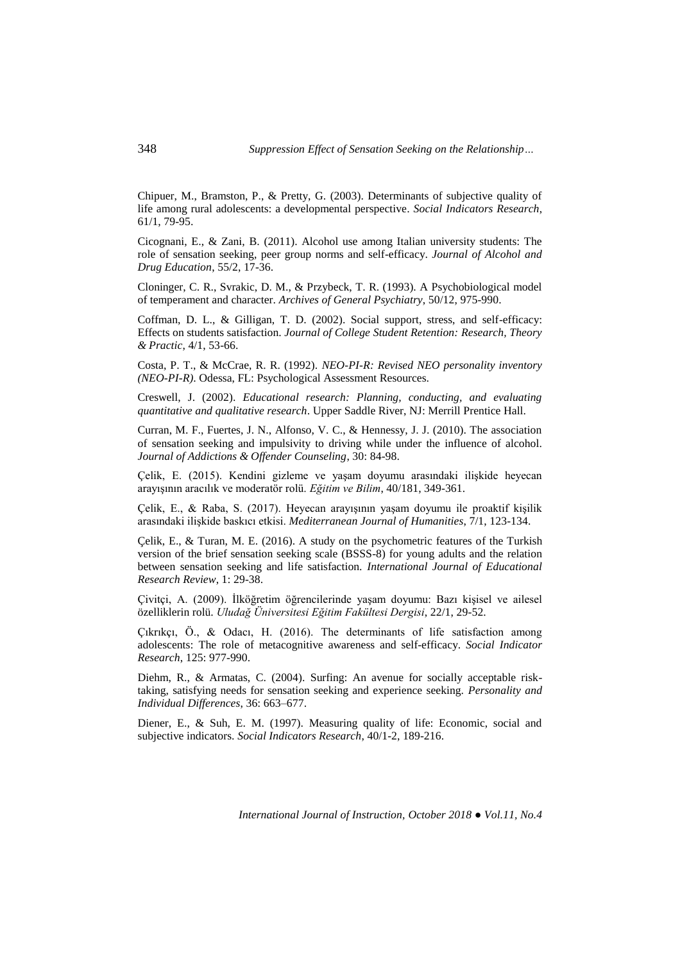Chipuer, M., Bramston, P., & Pretty, G. (2003). Determinants of subjective quality of life among rural adolescents: a developmental perspective. *Social Indicators Research*, 61/1, 79-95.

Cicognani, E., & Zani, B. (2011). Alcohol use among Italian university students: The role of sensation seeking, peer group norms and self-efficacy. *Journal of Alcohol and Drug Education*, 55/2, 17-36.

Cloninger, C. R., Svrakic, D. M., & Przybeck, T. R. (1993). A Psychobiological model of temperament and character. *Archives of General Psychiatry*, 50/12, 975-990.

Coffman, D. L., & Gilligan, T. D. (2002). Social support, stress, and self-efficacy: Effects on students satisfaction. *Journal of College Student Retention: Research, Theory & Practic*, 4/1, 53-66.

Costa, P. T., & McCrae, R. R. (1992). *NEO-PI-R: Revised NEO personality inventory (NEO-PI-R)*. Odessa, FL: Psychological Assessment Resources.

Creswell, J. (2002). *Educational research: Planning, conducting, and evaluating quantitative and qualitative research*. Upper Saddle River, NJ: Merrill Prentice Hall.

Curran, M. F., Fuertes, J. N., Alfonso, V. C., & Hennessy, J. J. (2010). The association of sensation seeking and impulsivity to driving while under the influence of alcohol. *Journal of Addictions & Offender Counseling*, 30: 84-98.

Çelik, E. (2015). Kendini gizleme ve yaşam doyumu arasındaki ilişkide heyecan arayışının aracılık ve moderatör rolü. *Eğitim ve Bilim*, 40/181, 349-361.

Çelik, E., & Raba, S. (2017). Heyecan arayışının yaşam doyumu ile proaktif kişilik arasındaki ilişkide baskıcı etkisi. *Mediterranean Journal of Humanities*, 7/1, 123-134.

Çelik, E., & Turan, M. E. (2016). A study on the psychometric features of the Turkish version of the brief sensation seeking scale (BSSS-8) for young adults and the relation between sensation seeking and life satisfaction. *International Journal of Educational Research Review*, 1: 29-38.

Çivitçi, A. (2009). İlköğretim öğrencilerinde yaşam doyumu: Bazı kişisel ve ailesel özelliklerin rolü. *Uludağ Üniversitesi Eğitim Fakültesi Dergisi*, 22/1, 29-52.

Çıkrıkçı, Ö., & Odacı, H. (2016). The determinants of life satisfaction among adolescents: The role of metacognitive awareness and self-efficacy. *Social Indicator Research*, 125: 977-990.

Diehm, R., & Armatas, C. (2004). Surfing: An avenue for socially acceptable risktaking, satisfying needs for sensation seeking and experience seeking. *Personality and Individual Differences*, 36: 663–677.

Diener, E., & Suh, E. M. (1997). Measuring quality of life: Economic, social and subjective indicators. *Social Indicators Research*, 40/1-2, 189-216.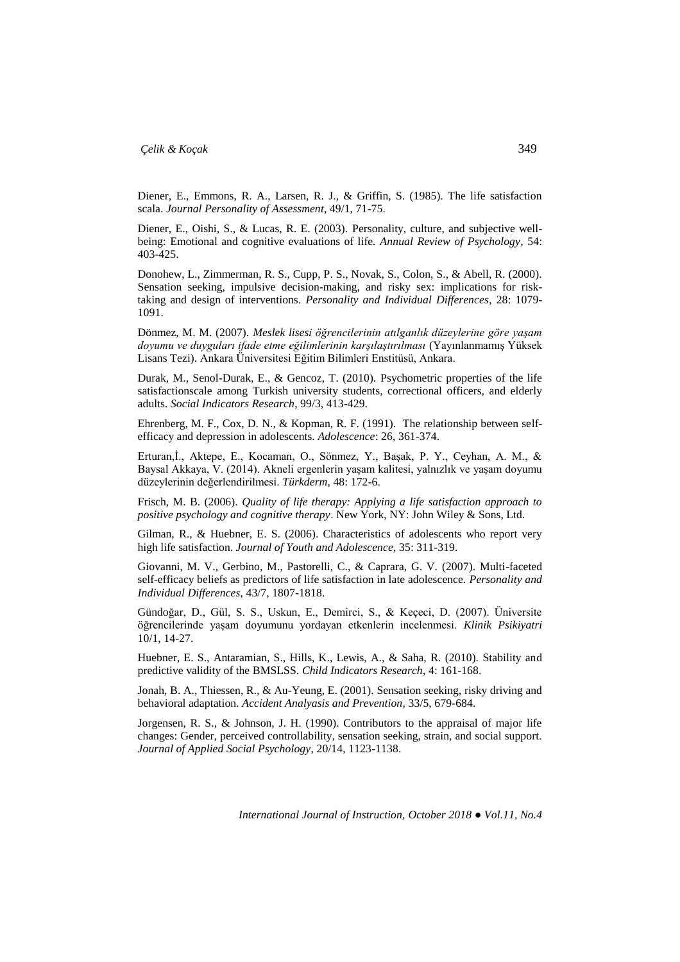Diener, E., Emmons, R. A., Larsen, R. J., & Griffin, S. (1985). The life satisfaction scala. *Journal Personality of Assessment*, 49/1, 71-75.

Diener, E., Oishi, S., & Lucas, R. E. (2003). Personality, culture, and subjective wellbeing: Emotional and cognitive evaluations of life. *Annual Review of Psychology*, 54: 403-425.

Donohew, L., Zimmerman, R. S., Cupp, P. S., Novak, S., Colon, S., & Abell, R. (2000). Sensation seeking, impulsive decision-making, and risky sex: implications for risktaking and design of interventions. *Personality and Individual Differences*, 28: 1079- 1091.

Dönmez, M. M. (2007). *Meslek lisesi öğrencilerinin atılganlık düzeylerine göre yaşam doyumu ve duyguları ifade etme eğilimlerinin karşılaştırılması* (Yayınlanmamış Yüksek Lisans Tezi). Ankara Üniversitesi Eğitim Bilimleri Enstitüsü, Ankara.

Durak, M., Senol-Durak, E., & Gencoz, T. (2010). Psychometric properties of the life satisfactionscale among Turkish university students, correctional officers, and elderly adults. *Social Indicators Research*, 99/3, 413-429.

Ehrenberg, M. F., Cox, D. N., & Kopman, R. F. (1991). The relationship between selfefficacy and depression in adolescents. *Adolescence*: 26, 361-374.

Erturan,İ., Aktepe, E., Kocaman, O., Sönmez, Y., Başak, P. Y., Ceyhan, A. M., & Baysal Akkaya, V. (2014). Akneli ergenlerin yaşam kalitesi, yalnızlık ve yaşam doyumu düzeylerinin değerlendirilmesi. *Türkderm*, 48: 172-6.

Frisch, M. B. (2006). *Quality of life therapy: Applying a life satisfaction approach to positive psychology and cognitive therapy*. New York, NY: John Wiley & Sons, Ltd.

Gilman, R., & Huebner, E. S. (2006). Characteristics of adolescents who report very high life satisfaction. *Journal of Youth and Adolescence*, 35: 311-319.

Giovanni, M. V., Gerbino, M., Pastorelli, C., & Caprara, G. V. (2007). Multi-faceted self-efficacy beliefs as predictors of life satisfaction in late adolescence. *Personality and Individual Differences*, 43/7, 1807-1818.

Gündoğar, D., Gül, S. S., Uskun, E., Demirci, S., & Keçeci, D. (2007). Üniversite öğrencilerinde yaşam doyumunu yordayan etkenlerin incelenmesi. *Klinik Psikiyatri* 10/1, 14-27.

Huebner, E. S., Antaramian, S., Hills, K., Lewis, A., & Saha, R. (2010). Stability and predictive validity of the BMSLSS. *Child Indicators Research*, 4: 161-168.

Jonah, B. A., Thiessen, R., & Au-Yeung, E. (2001). Sensation seeking, risky driving and behavioral adaptation. *Accident Analyasis and Prevention*, 33/5, 679-684.

Jorgensen, R. S., & Johnson, J. H. (1990). Contributors to the appraisal of major life changes: Gender, perceived controllability, sensation seeking, strain, and social support. *Journal of Applied Social Psychology*, 20/14, 1123-1138.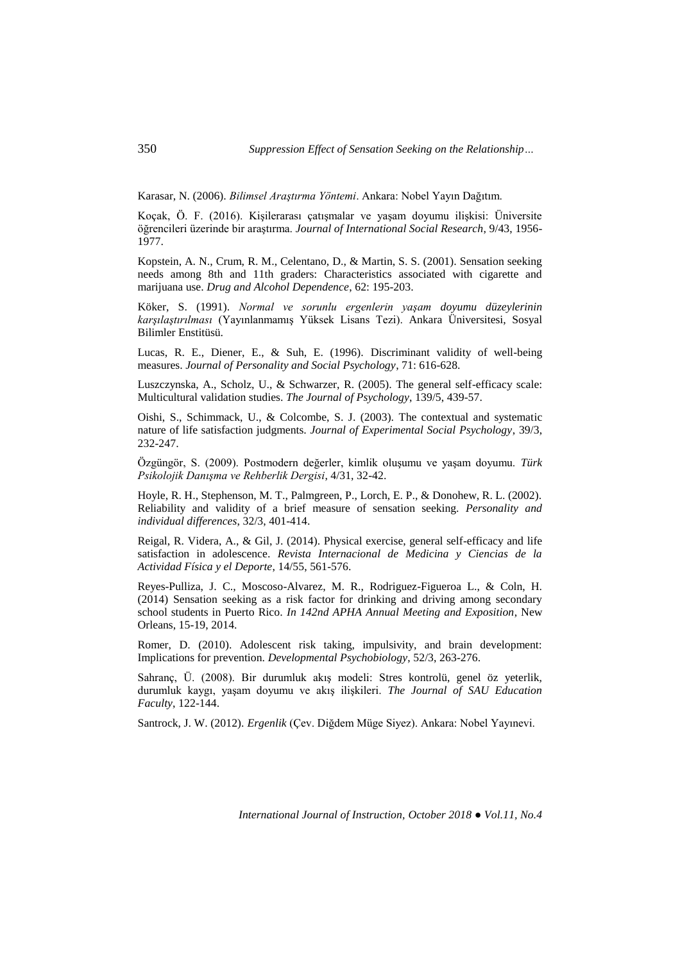Karasar, N. (2006). *Bilimsel Araştırma Yöntemi*. Ankara: Nobel Yayın Dağıtım.

Koçak, Ö. F. (2016). Kişilerarası çatışmalar ve yaşam doyumu ilişkisi: Üniversite öğrencileri üzerinde bir araştırma. *Journal of International Social Research*, 9/43, 1956- 1977.

Kopstein, A. N., Crum, R. M., Celentano, D., & Martin, S. S. (2001). Sensation seeking needs among 8th and 11th graders: Characteristics associated with cigarette and marijuana use. *Drug and Alcohol Dependence*, 62: 195-203.

Köker, S. (1991). *Normal ve sorunlu ergenlerin yaşam doyumu düzeylerinin karşılaştırılması* (Yayınlanmamış Yüksek Lisans Tezi). Ankara Üniversitesi, Sosyal Bilimler Enstitüsü.

Lucas, R. E., Diener, E., & Suh, E. (1996). Discriminant validity of well-being measures. *Journal of Personality and Social Psychology*, 71: 616-628.

Luszczynska, A., Scholz, U., & Schwarzer, R. (2005). The general self-efficacy scale: Multicultural validation studies. *The Journal of Psychology*, 139/5, 439-57.

Oishi, S., Schimmack, U., & Colcombe, S. J. (2003). The contextual and systematic nature of life satisfaction judgments. *Journal of Experimental Social Psychology*, 39/3, 232-247.

Özgüngör, S. (2009). Postmodern değerler, kimlik oluşumu ve yaşam doyumu. *Türk Psikolojik Danışma ve Rehberlik Dergisi*, 4/31, 32-42.

Hoyle, R. H., Stephenson, M. T., Palmgreen, P., Lorch, E. P., & Donohew, R. L. (2002). Reliability and validity of a brief measure of sensation seeking. *Personality and individual differences*, 32/3, 401-414.

Reigal, R. Videra, A., & Gil, J. (2014). Physical exercise, general self-efficacy and life satisfaction in adolescence. *Revista Internacional de Medicina y Ciencias de la Actividad Física y el Deporte*, 14/55, 561-576.

Reyes-Pulliza, J. C., Moscoso-Alvarez, M. R., Rodriguez-Figueroa L., & Coln, H. (2014) Sensation seeking as a risk factor for drinking and driving among secondary school students in Puerto Rico. *In 142nd APHA Annual Meeting and Exposition*, New Orleans, 15-19, 2014.

Romer, D. (2010). Adolescent risk taking, impulsivity, and brain development: Implications for prevention. *Developmental Psychobiology*, 52/3, 263-276.

Sahranç, Ü. (2008). Bir durumluk akış modeli: Stres kontrolü, genel öz yeterlik, durumluk kaygı, yaşam doyumu ve akış ilişkileri. *The Journal of SAU Education Faculty*, 122-144.

Santrock, J. W. (2012). *Ergenlik* (Çev. Diğdem Müge Siyez). Ankara: Nobel Yayınevi.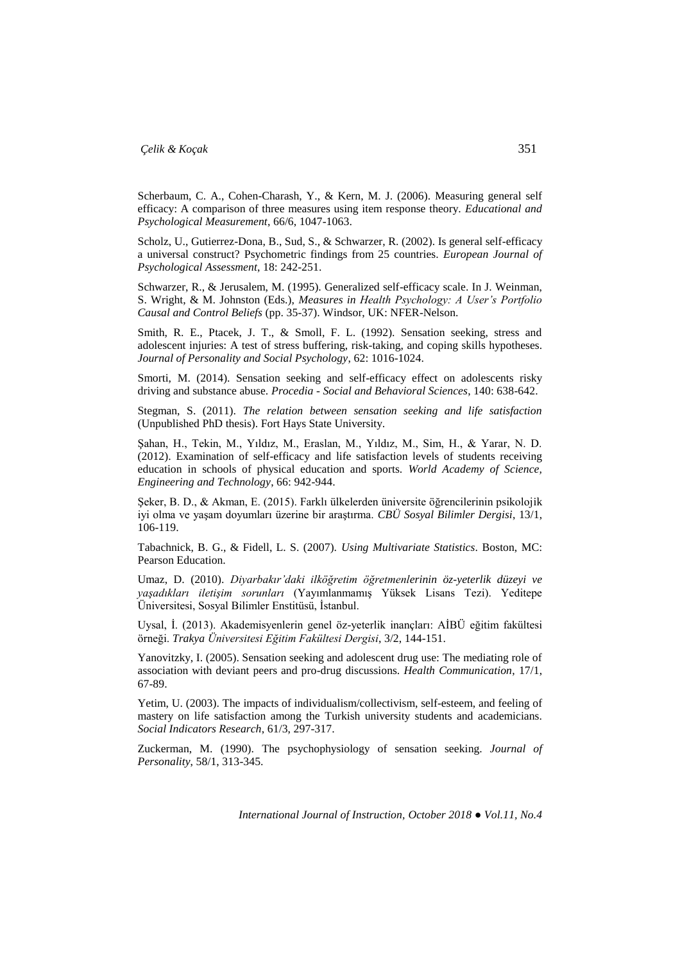Scherbaum, C. A., Cohen-Charash, Y., & Kern, M. J. (2006). Measuring general self efficacy: A comparison of three measures using item response theory. *Educational and Psychological Measurement*, 66/6, 1047-1063.

Scholz, U., Gutierrez-Dona, B., Sud, S., & Schwarzer, R. (2002). Is general self-efficacy a universal construct? Psychometric findings from 25 countries. *European Journal of Psychological Assessment*, 18: 242-251.

Schwarzer, R., & Jerusalem, M. (1995). Generalized self-efficacy scale. In J. Weinman, S. Wright, & M. Johnston (Eds.), *Measures in Health Psychology: A User's Portfolio Causal and Control Beliefs* (pp. 35-37). Windsor, UK: NFER-Nelson.

Smith, R. E., Ptacek, J. T., & Smoll, F. L. (1992). Sensation seeking, stress and adolescent injuries: A test of stress buffering, risk-taking, and coping skills hypotheses. *Journal of Personality and Social Psychology*, 62: 1016-1024.

Smorti, M. (2014). Sensation seeking and self-efficacy effect on adolescents risky driving and substance abuse. *Procedia - Social and Behavioral Sciences*, 140: 638-642.

Stegman, S. (2011). *The relation between sensation seeking and life satisfaction* (Unpublished PhD thesis). Fort Hays State University.

Şahan, H., Tekin, M., Yıldız, M., Eraslan, M., Yıldız, M., Sim, H., & Yarar, N. D. (2012). Examination of self-efficacy and life satisfaction levels of students receiving education in schools of physical education and sports. *World Academy of Science, Engineering and Technology*, 66: 942-944.

Şeker, B. D., & Akman, E. (2015). Farklı ülkelerden üniversite öğrencilerinin psikolojik iyi olma ve yaşam doyumları üzerine bir araştırma. *CBÜ Sosyal Bilimler Dergisi*, 13/1, 106-119.

Tabachnick, B. G., & Fidell, L. S. (2007). *Using Multivariate Statistics*. Boston, MC: Pearson Education.

Umaz, D. (2010). *Diyarbakır'daki ilköğretim öğretmenlerinin öz-yeterlik düzeyi ve yaşadıkları iletişim sorunları* (Yayımlanmamış Yüksek Lisans Tezi). Yeditepe Üniversitesi, Sosyal Bilimler Enstitüsü, İstanbul.

Uysal, İ. (2013). Akademisyenlerin genel öz-yeterlik inançları: AİBÜ eğitim fakültesi örneği. *Trakya Üniversitesi Eğitim Fakültesi Dergisi*, 3/2, 144-151.

Yanovitzky, I. (2005). Sensation seeking and adolescent drug use: The mediating role of association with deviant peers and pro-drug discussions. *Health Communication*, 17/1, 67-89.

Yetim, U. (2003). The impacts of individualism/collectivism, self-esteem, and feeling of mastery on life satisfaction among the Turkish university students and academicians. *Social Indicators Research*, 61/3, 297-317.

Zuckerman, M. (1990). The psychophysiology of sensation seeking. *Journal of Personality*, 58/1, 313-345.